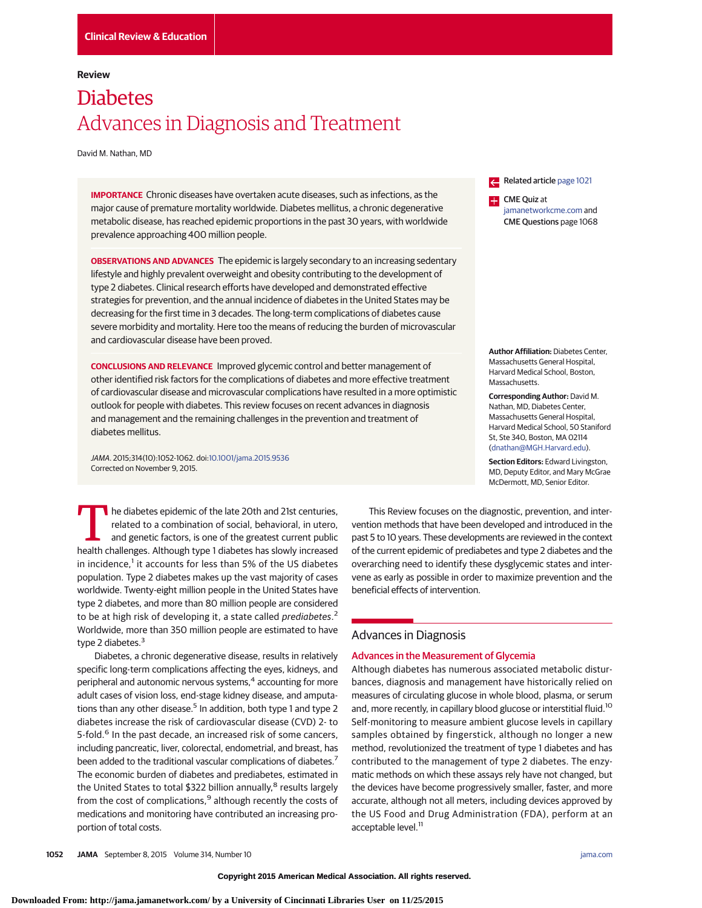# **Review**

# **Diabetes** Advances in Diagnosis and Treatment

David M. Nathan, MD

**IMPORTANCE** Chronic diseases have overtaken acute diseases, such as infections, as the major cause of premature mortality worldwide. Diabetes mellitus, a chronic degenerative metabolic disease, has reached epidemic proportions in the past 30 years, with worldwide prevalence approaching 400 million people.

**OBSERVATIONS AND ADVANCES** The epidemic is largely secondary to an increasing sedentary lifestyle and highly prevalent overweight and obesity contributing to the development of type 2 diabetes. Clinical research efforts have developed and demonstrated effective strategies for prevention, and the annual incidence of diabetes in the United States may be decreasing for the first time in 3 decades. The long-term complications of diabetes cause severe morbidity and mortality. Here too the means of reducing the burden of microvascular and cardiovascular disease have been proved.

**CONCLUSIONS AND RELEVANCE** Improved glycemic control and better management of other identified risk factors for the complications of diabetes and more effective treatment of cardiovascular disease and microvascular complications have resulted in a more optimistic outlook for people with diabetes. This review focuses on recent advances in diagnosis and management and the remaining challenges in the prevention and treatment of diabetes mellitus.

JAMA. 2015;314(10):1052-1062. doi[:10.1001/jama.2015.9536](http://jama.jamanetwork.com/article.aspx?doi=10.1001/jama.2015.9536&utm_campaign=articlePDF%26utm_medium=articlePDFlink%26utm_source=articlePDF%26utm_content=jama.2015.9536) Corrected on November 9, 2015.

The diabetes epidemic of the late 20th and 21st centuries,<br>related to a combination of social, behavioral, in utero,<br>and genetic factors, is one of the greatest current public<br>health challenges. Although type 1 diabetes ha related to a combination of social, behavioral, in utero, and genetic factors, is one of the greatest current public health challenges. Although type 1 diabetes has slowly increased in incidence,<sup>1</sup> it accounts for less than 5% of the US diabetes population. Type 2 diabetes makes up the vast majority of cases worldwide. Twenty-eight million people in the United States have type 2 diabetes, and more than 80 million people are considered to be at high risk of developing it, a state called prediabetes.<sup>2</sup> Worldwide, more than 350 million people are estimated to have type 2 diabetes.<sup>3</sup>

Diabetes, a chronic degenerative disease, results in relatively specific long-term complications affecting the eyes, kidneys, and peripheral and autonomic nervous systems,<sup>4</sup> accounting for more adult cases of vision loss, end-stage kidney disease, and amputations than any other disease.<sup>5</sup> In addition, both type 1 and type 2 diabetes increase the risk of cardiovascular disease (CVD) 2- to 5-fold.<sup>6</sup> In the past decade, an increased risk of some cancers, including pancreatic, liver, colorectal, endometrial, and breast, has been added to the traditional vascular complications of diabetes.<sup>7</sup> The economic burden of diabetes and prediabetes, estimated in the United States to total \$322 billion annually,<sup>8</sup> results largely from the cost of complications,<sup>9</sup> although recently the costs of medications and monitoring have contributed an increasing proportion of total costs.

Related article [page 1021](http://jama.jamanetwork.com/article.aspx?doi=10.1001/jama.2015.10029&utm_campaign=articlePDF%26utm_medium=articlePDFlink%26utm_source=articlePDF%26utm_content=jama.2015.9536)

**CME** Quiz at [jamanetworkcme.com](http://www.jamanetworkcme.com/?utm_campaign=articlePDF%26utm_medium=articlePDFlink%26utm_source=articlePDF%26utm_content=jama.2015.9536) and CME Questions page 1068

**Author Affiliation:** Diabetes Center, Massachusetts General Hospital, Harvard Medical School, Boston, Massachusetts.

**Corresponding Author:** David M. Nathan, MD, Diabetes Center, Massachusetts General Hospital, Harvard Medical School, 50 Staniford St, Ste 340, Boston, MA 02114 [\(dnathan@MGH.Harvard.edu\)](mailto:dnathan@MGH.Harvard.edu).

**Section Editors:** Edward Livingston, MD, Deputy Editor, and Mary McGrae McDermott, MD, Senior Editor.

This Review focuses on the diagnostic, prevention, and intervention methods that have been developed and introduced in the past 5 to 10 years. These developments are reviewed in the context of the current epidemic of prediabetes and type 2 diabetes and the overarching need to identify these dysglycemic states and intervene as early as possible in order to maximize prevention and the beneficial effects of intervention.

# Advances in Diagnosis

# Advances in the Measurement of Glycemia

Although diabetes has numerous associated metabolic disturbances, diagnosis and management have historically relied on measures of circulating glucose in whole blood, plasma, or serum and, more recently, in capillary blood glucose or interstitial fluid.<sup>10</sup> Self-monitoring to measure ambient glucose levels in capillary samples obtained by fingerstick, although no longer a new method, revolutionized the treatment of type 1 diabetes and has contributed to the management of type 2 diabetes. The enzymatic methods on which these assays rely have not changed, but the devices have become progressively smaller, faster, and more accurate, although not all meters, including devices approved by the US Food and Drug Administration (FDA), perform at an acceptable level.<sup>11</sup>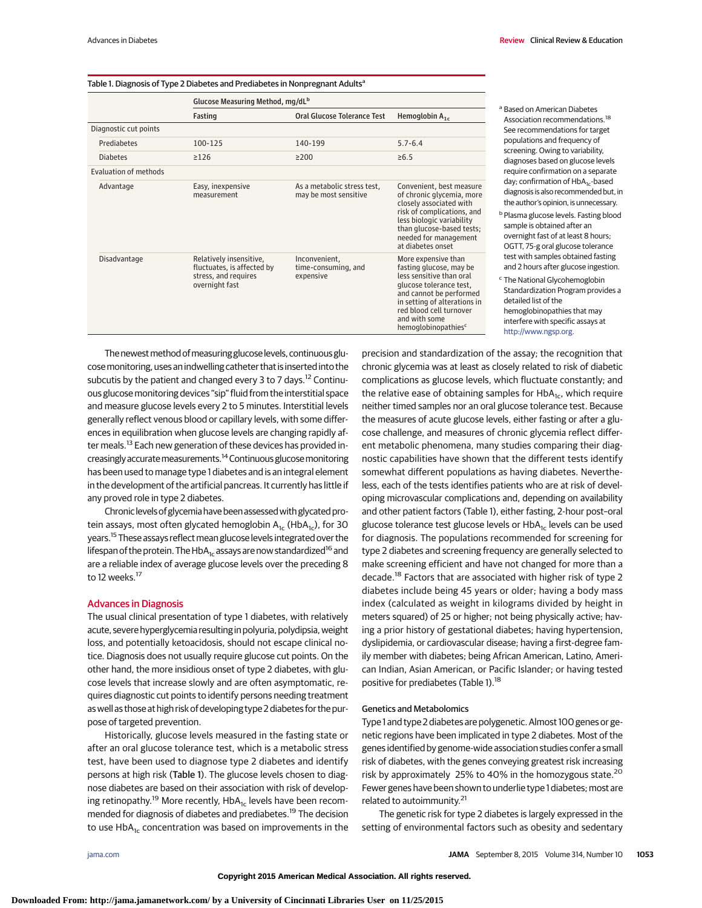### Table 1. Diagnosis of Type 2 Diabetes and Prediabetes in Nonpregnant Adults<sup>a</sup>

|                       | Glucose Measuring Method, mg/dL <sup>b</sup>                                                    |                                                      |                                                                                                                                                                                                                                                 |  |
|-----------------------|-------------------------------------------------------------------------------------------------|------------------------------------------------------|-------------------------------------------------------------------------------------------------------------------------------------------------------------------------------------------------------------------------------------------------|--|
|                       | Fasting                                                                                         | Oral Glucose Tolerance Test                          | Hemoglobin $A_{1c}$                                                                                                                                                                                                                             |  |
| Diagnostic cut points |                                                                                                 |                                                      |                                                                                                                                                                                                                                                 |  |
| Prediabetes           | 100-125                                                                                         | 140-199                                              | $5.7 - 6.4$                                                                                                                                                                                                                                     |  |
| <b>Diabetes</b>       | $\geq$ 126                                                                                      | $\geq$ 200                                           | $\ge 6.5$                                                                                                                                                                                                                                       |  |
| Evaluation of methods |                                                                                                 |                                                      |                                                                                                                                                                                                                                                 |  |
| Advantage             | Easy, inexpensive<br>measurement                                                                | As a metabolic stress test,<br>may be most sensitive | Convenient, best measure<br>of chronic glycemia, more<br>closely associated with<br>risk of complications, and<br>less biologic variability<br>than glucose-based tests;<br>needed for management<br>at diabetes onset                          |  |
| Disadvantage          | Relatively insensitive,<br>fluctuates, is affected by<br>stress, and requires<br>overnight fast | Inconvenient,<br>time-consuming, and<br>expensive    | More expensive than<br>fasting glucose, may be<br>less sensitive than oral<br>glucose tolerance test,<br>and cannot be performed<br>in setting of alterations in<br>red blood cell turnover<br>and with some<br>hemoglobinopathies <sup>c</sup> |  |

- <sup>a</sup> Based on American Diabetes Association recommendations.<sup>18</sup> See recommendations for target populations and frequency of screening. Owing to variability, diagnoses based on glucose levels require confirmation on a separate day; confirmation of HbA<sub>1c</sub>-based diagnosis is also recommended but, in the author's opinion, is unnecessary.
- **b** Plasma glucose levels. Fasting blood sample is obtained after an overnight fast of at least 8 hours; OGTT, 75-g oral glucose tolerance test with samples obtained fasting and 2 hours after glucose ingestion. <sup>c</sup> The National Glycohemoglobin Standardization Program provides a
- detailed list of the hemoglobinopathies that may interfere with specific assays at [http://www.ngsp.org.](http://www.ngsp.org)

The newest method of measuring glucose levels, continuous glucosemonitoring, uses an indwelling catheter that is inserted into the subcutis by the patient and changed every 3 to 7 days.<sup>12</sup> Continuous glucose monitoring devices "sip" fluid from the interstitial space and measure glucose levels every 2 to 5 minutes. Interstitial levels generally reflect venous blood or capillary levels, with some differences in equilibration when glucose levels are changing rapidly after meals.<sup>13</sup> Each new generation of these devices has provided increasinglyaccuratemeasurements.14 Continuous glucosemonitoring has been used to manage type 1 diabetes and is an integral element in the development of the artificial pancreas. It currently has little if any proved role in type 2 diabetes.

Chronic levels of glycemia have been assessed with glycated protein assays, most often glycated hemoglobin  $A_{1c}$  (Hb $A_{1c}$ ), for 30 years.<sup>15</sup> These assays reflect mean glucose levels integrated over the lifespan of the protein. The HbA<sub>1c</sub> assays are now standardized<sup>16</sup> and are a reliable index of average glucose levels over the preceding 8 to 12 weeks.<sup>17</sup>

# Advances in Diagnosis

The usual clinical presentation of type 1 diabetes, with relatively acute, severe hyperglycemia resulting in polyuria, polydipsia, weight loss, and potentially ketoacidosis, should not escape clinical notice. Diagnosis does not usually require glucose cut points. On the other hand, the more insidious onset of type 2 diabetes, with glucose levels that increase slowly and are often asymptomatic, requires diagnostic cut points to identify persons needing treatment as well as those at high risk of developing type 2 diabetes for the purpose of targeted prevention.

Historically, glucose levels measured in the fasting state or after an oral glucose tolerance test, which is a metabolic stress test, have been used to diagnose type 2 diabetes and identify persons at high risk (Table 1). The glucose levels chosen to diagnose diabetes are based on their association with risk of developing retinopathy.<sup>19</sup> More recently,  $HbA_{1c}$  levels have been recommended for diagnosis of diabetes and prediabetes.<sup>19</sup> The decision to use  $HbA_{1c}$  concentration was based on improvements in the

precision and standardization of the assay; the recognition that chronic glycemia was at least as closely related to risk of diabetic complications as glucose levels, which fluctuate constantly; and the relative ease of obtaining samples for  $HbA<sub>1c</sub>$ , which require neither timed samples nor an oral glucose tolerance test. Because the measures of acute glucose levels, either fasting or after a glucose challenge, and measures of chronic glycemia reflect different metabolic phenomena, many studies comparing their diagnostic capabilities have shown that the different tests identify somewhat different populations as having diabetes. Nevertheless, each of the tests identifies patients who are at risk of developing microvascular complications and, depending on availability and other patient factors (Table 1), either fasting, 2-hour post–oral glucose tolerance test glucose levels or  $HbA<sub>1c</sub>$  levels can be used for diagnosis. The populations recommended for screening for type 2 diabetes and screening frequency are generally selected to make screening efficient and have not changed for more than a decade.<sup>18</sup> Factors that are associated with higher risk of type 2 diabetes include being 45 years or older; having a body mass index (calculated as weight in kilograms divided by height in meters squared) of 25 or higher; not being physically active; having a prior history of gestational diabetes; having hypertension, dyslipidemia, or cardiovascular disease; having a first-degree family member with diabetes; being African American, Latino, American Indian, Asian American, or Pacific Islander; or having tested positive for prediabetes (Table 1).<sup>18</sup>

#### Genetics and Metabolomics

Type 1 and type 2 diabetes are polygenetic. Almost 100 genes or genetic regions have been implicated in type 2 diabetes. Most of the genes identified by genome-wide association studies confer a small risk of diabetes, with the genes conveying greatest risk increasing risk by approximately 25% to 40% in the homozygous state.<sup>20</sup> Fewer genes have been shown to underlie type 1 diabetes; most are related to autoimmunity.<sup>21</sup>

The genetic risk for type 2 diabetes is largely expressed in the setting of environmental factors such as obesity and sedentary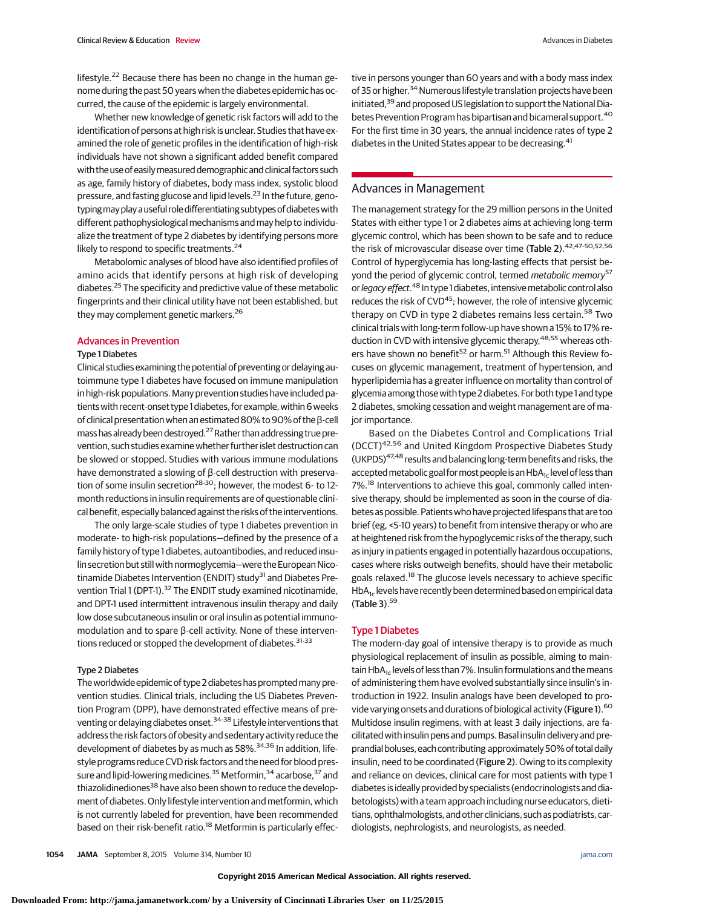lifestyle.<sup>22</sup> Because there has been no change in the human genome during the past 50 years when the diabetes epidemic has occurred, the cause of the epidemic is largely environmental.

Whether new knowledge of genetic risk factors will add to the identification of persons at high risk is unclear. Studies that have examined the role of genetic profiles in the identification of high-risk individuals have not shown a significant added benefit compared with the use of easily measured demographic and clinical factors such as age, family history of diabetes, body mass index, systolic blood pressure, and fasting glucose and lipid levels.<sup>23</sup> In the future, genotyping may play a useful role differentiating subtypes of diabetes with different pathophysiological mechanisms and may help to individualize the treatment of type 2 diabetes by identifying persons more likely to respond to specific treatments.<sup>24</sup>

Metabolomic analyses of blood have also identified profiles of amino acids that identify persons at high risk of developing diabetes.<sup>25</sup> The specificity and predictive value of these metabolic fingerprints and their clinical utility have not been established, but they may complement genetic markers.<sup>26</sup>

# Advances in Prevention

#### Type 1 Diabetes

Clinical studies examining the potential of preventing or delaying autoimmune type 1 diabetes have focused on immune manipulation in high-risk populations. Many prevention studies have included patients with recent-onset type 1 diabetes, forexample, within 6 weeks of clinical presentation when an estimated 80% to 90% of the β-cell mass has already been destroyed.<sup>27</sup> Rather than addressing true prevention, such studies examine whether further islet destruction can be slowed or stopped. Studies with various immune modulations have demonstrated a slowing of β-cell destruction with preservation of some insulin secretion<sup>28-30</sup>; however, the modest 6- to 12month reductions in insulin requirements are of questionable clinical benefit, especially balanced against the risks of the interventions.

The only large-scale studies of type 1 diabetes prevention in moderate- to high-risk populations—defined by the presence of a family history of type 1 diabetes, autoantibodies, and reduced insulin secretion but still with normoglycemia-were the European Nicotinamide Diabetes Intervention (ENDIT) study<sup>31</sup> and Diabetes Prevention Trial 1 (DPT-1).<sup>32</sup> The ENDIT study examined nicotinamide, and DPT-1 used intermittent intravenous insulin therapy and daily low dose subcutaneous insulin or oral insulin as potential immunomodulation and to spare β-cell activity. None of these interventions reduced or stopped the development of diabetes.<sup>31-33</sup>

# Type 2 Diabetes

The worldwide epidemic of type 2 diabetes has promptedmany prevention studies. Clinical trials, including the US Diabetes Prevention Program (DPP), have demonstrated effective means of preventing or delaying diabetes onset.<sup>34-38</sup> Lifestyle interventions that address the risk factors of obesity and sedentary activity reduce the development of diabetes by as much as 58%.<sup>34,36</sup> In addition, lifestyle programs reduce CVD risk factors and the need for blood pressure and lipid-lowering medicines.<sup>35</sup> Metformin,<sup>34</sup> acarbose,<sup>37</sup> and thiazolidinediones<sup>38</sup> have also been shown to reduce the development of diabetes. Only lifestyle intervention and metformin, which is not currently labeled for prevention, have been recommended based on their risk-benefit ratio.<sup>18</sup> Metformin is particularly effective in persons younger than 60 years and with a body mass index of 35 or higher.<sup>34</sup> Numerous lifestyle translation projects have been initiated,<sup>39</sup> and proposed US legislation to support the National Diabetes Prevention Program has bipartisan and bicameral support.<sup>40</sup> For the first time in 30 years, the annual incidence rates of type 2 diabetes in the United States appear to be decreasing.<sup>41</sup>

# Advances in Management

The management strategy for the 29 million persons in the United States with either type 1 or 2 diabetes aims at achieving long-term glycemic control, which has been shown to be safe and to reduce the risk of microvascular disease over time (Table 2).<sup>42,47-50,52,56</sup> Control of hyperglycemia has long-lasting effects that persist beyond the period of glycemic control, termed *metabolic memory*<sup>57</sup> or *legacy effect*.<sup>48</sup> In type 1 diabetes, intensive metabolic control also reduces the risk of CVD<sup>45</sup>; however, the role of intensive glycemic therapy on CVD in type 2 diabetes remains less certain.<sup>58</sup> Two clinical trials with long-term follow-up have shown a 15% to 17% reduction in CVD with intensive glycemic therapy,<sup>48,55</sup> whereas others have shown no benefit<sup>52</sup> or harm.<sup>51</sup> Although this Review focuses on glycemic management, treatment of hypertension, and hyperlipidemia has a greater influence on mortality than control of glycemia among those with type 2 diabetes. For both type 1 and type 2 diabetes, smoking cessation and weight management are of major importance.

Based on the Diabetes Control and Complications Trial (DCCT)42,56 and United Kingdom Prospective Diabetes Study (UKPDS)<sup>47,48</sup> results and balancing long-term benefits and risks, the accepted metabolic goal for most people is an HbA<sub>1c</sub> level of less than 7%.<sup>18</sup> Interventions to achieve this goal, commonly called intensive therapy, should be implemented as soon in the course of diabetes as possible. Patients who have projected lifespans that are too brief (eg, <5-10 years) to benefit from intensive therapy or who are at heightened risk from the hypoglycemic risks of the therapy, such as injury in patients engaged in potentially hazardous occupations, cases where risks outweigh benefits, should have their metabolic goals relaxed.<sup>18</sup> The glucose levels necessary to achieve specific  $HbA<sub>1c</sub>$  levels have recently been determined based on empirical data  $(Table 3).<sup>59</sup>$ 

#### Type 1 Diabetes

The modern-day goal of intensive therapy is to provide as much physiological replacement of insulin as possible, aiming to maintain HbA<sub>1c</sub> levels of less than 7%. Insulin formulations and the means of administering them have evolved substantially since insulin's introduction in 1922. Insulin analogs have been developed to provide varying onsets and durations of biological activity (Figure 1).<sup>60</sup> Multidose insulin regimens, with at least 3 daily injections, are facilitated with insulin pens and pumps. Basal insulin delivery and preprandial boluses, each contributing approximately 50% of total daily insulin, need to be coordinated (Figure 2). Owing to its complexity and reliance on devices, clinical care for most patients with type 1 diabetes is ideally provided by specialists (endocrinologists and diabetologists) with a team approach including nurse educators, dietitians, ophthalmologists, and other clinicians, such as podiatrists, cardiologists, nephrologists, and neurologists, as needed.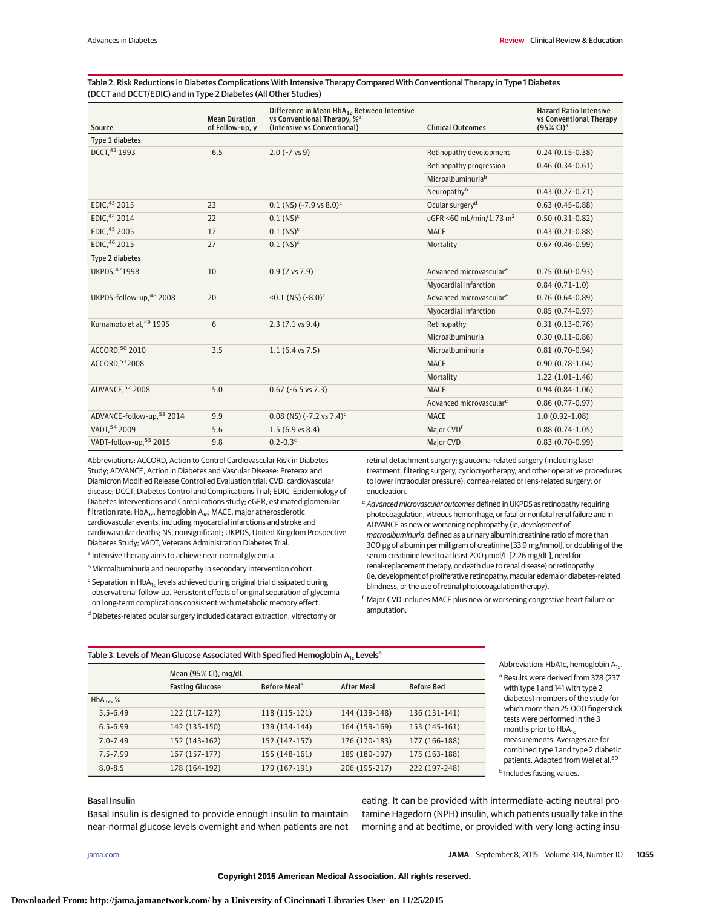# Table 2. Risk Reductions in Diabetes Complications With Intensive Therapy Compared With Conventional Therapy in Type 1 Diabetes (DCCT and DCCT/EDIC) and in Type 2 Diabetes (All Other Studies)

| Source                     | <b>Mean Duration</b><br>of Follow-up, y | Difference in Mean HbA <sub>1c</sub> Between Intensive<br>vs Conventional Therapy, % <sup>a</sup><br>(Intensive vs Conventional) | <b>Clinical Outcomes</b>            | <b>Hazard Ratio Intensive</b><br>vs Conventional Therapy<br>$(95\% \text{ Cl})^{\text{a}}$ |
|----------------------------|-----------------------------------------|----------------------------------------------------------------------------------------------------------------------------------|-------------------------------------|--------------------------------------------------------------------------------------------|
| Type 1 diabetes            |                                         |                                                                                                                                  |                                     |                                                                                            |
| DCCT, 42 1993              | 6.5                                     | $2.0$ (~7 vs 9)                                                                                                                  | Retinopathy development             | $0.24(0.15-0.38)$                                                                          |
|                            |                                         |                                                                                                                                  | Retinopathy progression             | $0.46(0.34-0.61)$                                                                          |
|                            |                                         |                                                                                                                                  | Microalbuminuria <sup>b</sup>       |                                                                                            |
|                            |                                         |                                                                                                                                  | Neuropathyb                         | $0.43(0.27-0.71)$                                                                          |
| EDIC. <sup>43</sup> 2015   | 23                                      | $0.1$ (NS) (~7.9 vs $8.0$ ) <sup>c</sup>                                                                                         | Ocular surgery <sup>d</sup>         | $0.63(0.45-0.88)$                                                                          |
| EDIC. <sup>44</sup> 2014   | 22                                      | $0.1$ (NS) <sup>c</sup>                                                                                                          | eGFR <60 mL/min/1.73 m <sup>2</sup> | $0.50(0.31-0.82)$                                                                          |
| EDIC, 45 2005              | 17                                      | $0.1$ (NS) <sup>c</sup>                                                                                                          | <b>MACE</b>                         | $0.43(0.21-0.88)$                                                                          |
| EDIC, 46 2015              | 27                                      | $0.1$ (NS) <sup>c</sup>                                                                                                          | Mortality                           | $0.67(0.46-0.99)$                                                                          |
| Type 2 diabetes            |                                         |                                                                                                                                  |                                     |                                                                                            |
| UKPDS, 471998              | 10                                      | $0.9(7 \text{ vs } 7.9)$                                                                                                         | Advanced microvascular <sup>e</sup> | $0.75(0.60-0.93)$                                                                          |
|                            |                                         |                                                                                                                                  | Myocardial infarction               | $0.84(0.71-1.0)$                                                                           |
| UKPDS-follow-up, 48 2008   | 20                                      | $< 0.1$ (NS) $(-8.0)^c$                                                                                                          | Advanced microvascular <sup>e</sup> | $0.76(0.64-0.89)$                                                                          |
|                            |                                         |                                                                                                                                  | Myocardial infarction               | $0.85(0.74-0.97)$                                                                          |
| Kumamoto et al, 49 1995    | 6                                       | $2.3(7.1 \text{ vs } 9.4)$                                                                                                       | Retinopathy                         | $0.31(0.13-0.76)$                                                                          |
|                            |                                         |                                                                                                                                  | Microalbuminuria                    | $0.30(0.11-0.86)$                                                                          |
| ACCORD, 50 2010            | 3.5                                     | $1.1(6.4 \text{ vs } 7.5)$                                                                                                       | Microalbuminuria                    | $0.81(0.70-0.94)$                                                                          |
| ACCORD, 512008             |                                         |                                                                                                                                  | <b>MACE</b>                         | $0.90(0.78-1.04)$                                                                          |
|                            |                                         |                                                                                                                                  | Mortality                           | $1.22(1.01-1.46)$                                                                          |
| ADVANCE, 52 2008           | 5.0                                     | $0.67$ (~6.5 vs 7.3)                                                                                                             | <b>MACE</b>                         | $0.94(0.84-1.06)$                                                                          |
|                            |                                         |                                                                                                                                  | Advanced microvascular <sup>e</sup> | $0.86(0.77-0.97)$                                                                          |
| ADVANCE-follow-up, 53 2014 | 9.9                                     | $0.08$ (NS) (~7.2 vs 7.4) <sup>c</sup>                                                                                           | <b>MACE</b>                         | $1.0(0.92 - 1.08)$                                                                         |
| VADT, 54 2009              | 5.6                                     | $1.5(6.9 \text{ vs } 8.4)$                                                                                                       | Major CVD <sup>f</sup>              | $0.88(0.74-1.05)$                                                                          |
| VADT-follow-up, 55 2015    | 9.8                                     | $0.2 - 0.3$ <sup>c</sup>                                                                                                         | Major CVD                           | $0.83(0.70-0.99)$                                                                          |

Abbreviations: ACCORD, Action to Control Cardiovascular Risk in Diabetes Study; ADVANCE, Action in Diabetes and Vascular Disease: Preterax and Diamicron Modified Release Controlled Evaluation trial; CVD, cardiovascular disease; DCCT, Diabetes Control and Complications Trial; EDIC, Epidemiology of Diabetes Interventions and Complications study; eGFR, estimated glomerular filtration rate;  $HbA_{1c}$ , hemoglobin  $A_{1c}$ ; MACE, major atherosclerotic cardiovascular events, including myocardial infarctions and stroke and cardiovascular deaths; NS, nonsignificant; UKPDS, United Kingdom Prospective Diabetes Study; VADT, Veterans Administration Diabetes Trial.

- a Intensive therapy aims to achieve near-normal glycemia.
- b Microalbuminuria and neuropathy in secondary intervention cohort.
- $c$  Separation in HbA<sub>1c</sub> levels achieved during original trial dissipated during observational follow-up. Persistent effects of original separation of glycemia on long-term complications consistent with metabolic memory effect.
- <sup>d</sup> Diabetes-related ocular surgery included cataract extraction; vitrectomy or

retinal detachment surgery; glaucoma-related surgery (including laser treatment, filtering surgery, cyclocryotherapy, and other operative procedures to lower intraocular pressure); cornea-related or lens-related surgery; or enucleation.

- e Advanced microvascular outcomes defined in UKPDS as retinopathy requiring photocoagulation, vitreous hemorrhage, or fatal or nonfatal renal failure and in ADVANCE as new or worsening nephropathy (ie, development of macroalbuminuria, defined as a urinary albumin:creatinine ratio of more than 300 μg of albumin per milligram of creatinine [33.9 mg/mmol], or doubling of the serum creatinine level to at least 200 μmol/L [2.26 mg/dL], need for renal-replacement therapy, or death due to renal disease) or retinopathy (ie, development of proliferative retinopathy, macular edema or diabetes-related blindness, or the use of retinal photocoagulation therapy).
- <sup>f</sup> Major CVD includes MACE plus new or worsening congestive heart failure or amputation.

#### Table 3. Levels of Mean Glucose Associated With Specified Hemoglobin  $A_{1c}$  Levels<sup>a</sup>

|                |                        | Mean (95% CI), mg/dL     |                   |                   |  |
|----------------|------------------------|--------------------------|-------------------|-------------------|--|
|                | <b>Fasting Glucose</b> | Before Meal <sup>b</sup> | <b>After Meal</b> | <b>Before Bed</b> |  |
| $HbA_{1c}$ , % |                        |                          |                   |                   |  |
| $5.5 - 6.49$   | 122 (117-127)          | 118 (115-121)            | 144 (139-148)     | 136 (131-141)     |  |
| $6.5 - 6.99$   | 142 (135-150)          | 139 (134-144)            | 164 (159-169)     | 153 (145-161)     |  |
| $7.0 - 7.49$   | 152 (143-162)          | 152 (147-157)            | 176 (170-183)     | 177 (166-188)     |  |
| $7.5 - 7.99$   | 167 (157-177)          | 155 (148-161)            | 189 (180-197)     | 175 (163-188)     |  |
| $8.0 - 8.5$    | 178 (164-192)          | 179 (167-191)            | 206 (195-217)     | 222 (197-248)     |  |

Abbreviation: HbA1c, hemoglobin A<sub>1c</sub>.

<sup>a</sup> Results were derived from 378 (237 with type 1 and 141 with type 2 diabetes) members of the study for which more than 25 000 fingerstick tests were performed in the 3 months prior to HbA<sub>1c</sub> measurements. Averages are for combined type 1 and type 2 diabetic patients. Adapted from Wei et al.59 **b** Includes fasting values.

# Basal Insulin

Basal insulin is designed to provide enough insulin to maintain near-normal glucose levels overnight and when patients are not

eating. It can be provided with intermediate-acting neutral protamine Hagedorn (NPH) insulin, which patients usually take in the morning and at bedtime, or provided with very long-acting insu-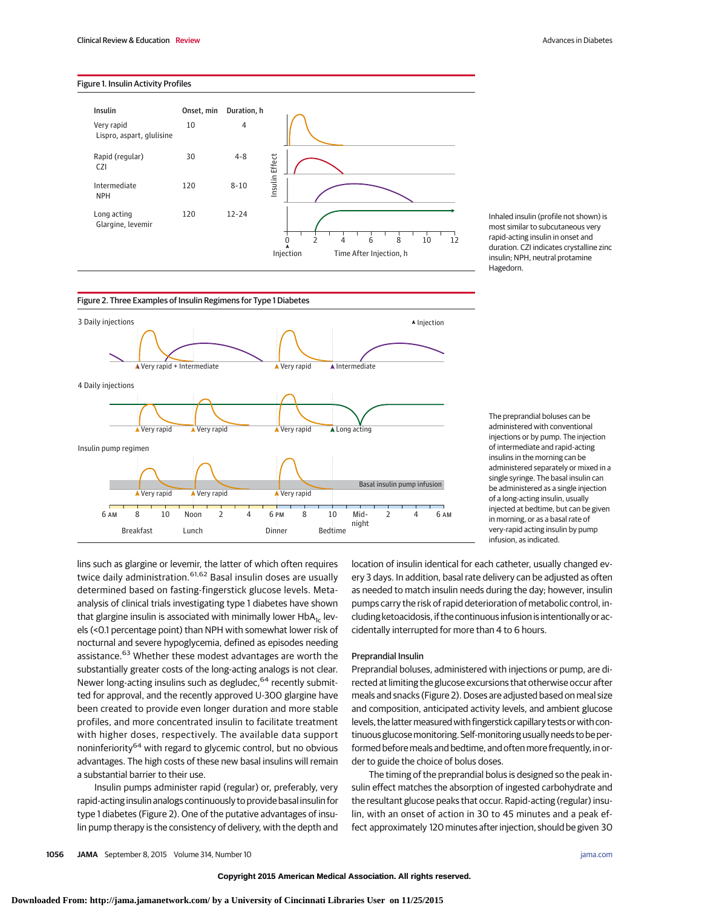# Figure 1. Insulin Activity Profiles



Inhaled insulin (profile not shown) is most similar to subcutaneous very rapid-acting insulin in onset and duration. CZI indicates crystalline zinc insulin; NPH, neutral protamine Hagedorn.



The preprandial boluses can be administered with conventional injections or by pump. The injection of intermediate and rapid-acting insulins in the morning can be administered separately or mixed in a single syringe. The basal insulin can be administered as a single injection of a long-acting insulin, usually injected at bedtime, but can be given in morning, or as a basal rate of very-rapid acting insulin by pump infusion, as indicated.

lins such as glargine or levemir, the latter of which often requires twice daily administration.<sup>61,62</sup> Basal insulin doses are usually determined based on fasting-fingerstick glucose levels. Metaanalysis of clinical trials investigating type 1 diabetes have shown that glargine insulin is associated with minimally lower  $HbA<sub>1c</sub>$  levels (<0.1 percentage point) than NPH with somewhat lower risk of nocturnal and severe hypoglycemia, defined as episodes needing assistance.<sup>63</sup> Whether these modest advantages are worth the substantially greater costs of the long-acting analogs is not clear. Newer long-acting insulins such as degludec, <sup>64</sup> recently submitted for approval, and the recently approved U-300 glargine have been created to provide even longer duration and more stable profiles, and more concentrated insulin to facilitate treatment with higher doses, respectively. The available data support noninferiority<sup>64</sup> with regard to glycemic control, but no obvious advantages. The high costs of these new basal insulins will remain a substantial barrier to their use.

Insulin pumps administer rapid (regular) or, preferably, very rapid-acting insulin analogs continuously to provide basal insulin for type 1 diabetes (Figure 2). One of the putative advantages of insulin pump therapy is the consistency of delivery, with the depth and location of insulin identical for each catheter, usually changed every 3 days. In addition, basal rate delivery can be adjusted as often as needed to match insulin needs during the day; however, insulin pumps carry the risk of rapid deterioration of metabolic control, including ketoacidosis, if the continuous infusion is intentionally or accidentally interrupted for more than 4 to 6 hours.

# Preprandial Insulin

Preprandial boluses, administered with injections or pump, are directed at limiting the glucose excursions that otherwise occur after meals and snacks (Figure 2). Doses are adjusted based on meal size and composition, anticipated activity levels, and ambient glucose levels, the latter measured with fingerstick capillary tests or with continuous glucosemonitoring. Self-monitoring usually needs to be performed before meals and bedtime, and often more frequently, in order to guide the choice of bolus doses.

The timing of the preprandial bolus is designed so the peak insulin effect matches the absorption of ingested carbohydrate and the resultant glucose peaks that occur. Rapid-acting (regular) insulin, with an onset of action in 30 to 45 minutes and a peak effect approximately 120 minutes after injection, should be given 30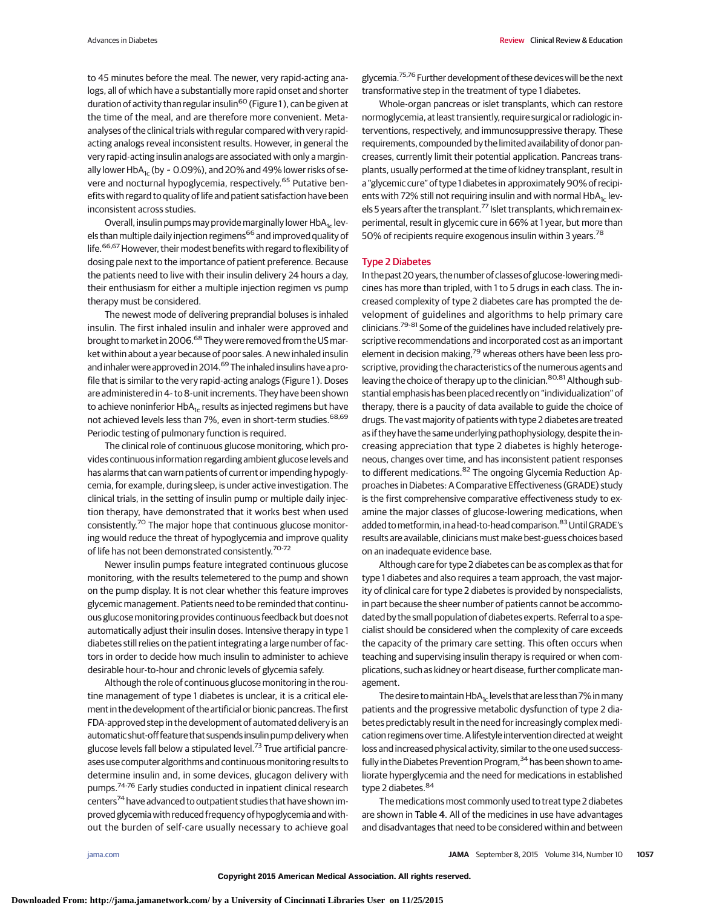to 45 minutes before the meal. The newer, very rapid-acting analogs, all of which have a substantially more rapid onset and shorter duration of activity than regular insulin<sup>60</sup> (Figure 1), can be given at the time of the meal, and are therefore more convenient. Metaanalyses of the clinical trials with regular compared with very rapidacting analogs reveal inconsistent results. However, in general the very rapid-acting insulin analogs are associated with only a marginally lower HbA<sub>1c</sub> (by  $\sim$  0.09%), and 20% and 49% lower risks of severe and nocturnal hypoglycemia, respectively.<sup>65</sup> Putative benefits with regard to quality of life and patient satisfaction have been inconsistent across studies.

Overall, insulin pumps may provide marginally lower  $HbA_{1c}$  levels than multiple daily injection regimens<sup>66</sup> and improved quality of life.<sup>66,67</sup> However, their modest benefits with regard to flexibility of dosing pale next to the importance of patient preference. Because the patients need to live with their insulin delivery 24 hours a day, their enthusiasm for either a multiple injection regimen vs pump therapy must be considered.

The newest mode of delivering preprandial boluses is inhaled insulin. The first inhaled insulin and inhaler were approved and brought to market in 2006.<sup>68</sup> They were removed from the US market within about a year because of poor sales. A new inhaled insulin and inhaler were approved in 2014.<sup>69</sup> The inhaled insulins have a profile that is similar to the very rapid-acting analogs (Figure 1 ). Doses are administered in 4- to 8-unit increments. They have been shown to achieve noninferior  $HbA_{1c}$  results as injected regimens but have not achieved levels less than 7%, even in short-term studies.<sup>68,69</sup> Periodic testing of pulmonary function is required.

The clinical role of continuous glucose monitoring, which provides continuous information regarding ambient glucose levels and has alarms that can warn patients of current or impending hypoglycemia, for example, during sleep, is under active investigation. The clinical trials, in the setting of insulin pump or multiple daily injection therapy, have demonstrated that it works best when used consistently.<sup>70</sup> The major hope that continuous glucose monitoring would reduce the threat of hypoglycemia and improve quality of life has not been demonstrated consistently.<sup>70-72</sup>

Newer insulin pumps feature integrated continuous glucose monitoring, with the results telemetered to the pump and shown on the pump display. It is not clear whether this feature improves glycemic management. Patients need to be reminded that continuous glucose monitoring provides continuous feedback but does not automatically adjust their insulin doses. Intensive therapy in type 1 diabetes still relies on the patient integrating a large number of factors in order to decide how much insulin to administer to achieve desirable hour-to-hour and chronic levels of glycemia safely.

Although the role of continuous glucose monitoring in the routine management of type 1 diabetes is unclear, it is a critical element in the development of the artificial or bionic pancreas. The first FDA-approved step in the development of automated delivery is an automatic shut-off feature that suspends insulin pump deliverywhen glucose levels fall below a stipulated level.<sup>73</sup> True artificial pancreases use computer algorithms and continuous monitoring results to determine insulin and, in some devices, glucagon delivery with pumps.74-76 Early studies conducted in inpatient clinical research centers<sup>74</sup> have advanced to outpatient studies that have shown improved glycemia with reduced frequency of hypoglycemia and without the burden of self-care usually necessary to achieve goal

glycemia.<sup>75,76</sup> Further development of these devices will be the next transformative step in the treatment of type 1 diabetes.

Whole-organ pancreas or islet transplants, which can restore normoglycemia, at least transiently, require surgical or radiologic interventions, respectively, and immunosuppressive therapy. These requirements, compounded by the limited availability of donor pancreases, currently limit their potential application. Pancreas transplants, usually performed at the time of kidney transplant, result in a "glycemic cure" of type 1 diabetes in approximately 90% of recipients with 72% still not requiring insulin and with normal  $HbA<sub>1c</sub>$  levels 5 years after the transplant.<sup>77</sup> Islet transplants, which remain experimental, result in glycemic cure in 66% at 1 year, but more than 50% of recipients require exogenous insulin within 3 years.<sup>78</sup>

# Type 2 Diabetes

In the past 20years, the number of classes of glucose-loweringmedicines has more than tripled, with 1 to 5 drugs in each class. The increased complexity of type 2 diabetes care has prompted the development of guidelines and algorithms to help primary care clinicians.<sup>79-81</sup> Some of the guidelines have included relatively prescriptive recommendations and incorporated cost as an important element in decision making,<sup>79</sup> whereas others have been less proscriptive, providing the characteristics of the numerous agents and leaving the choice of therapy up to the clinician.<sup>80,81</sup> Although substantial emphasis has been placed recently on "individualization" of therapy, there is a paucity of data available to guide the choice of drugs. The vast majority of patients with type 2 diabetes are treated as if they have the same underlying pathophysiology, despite the increasing appreciation that type 2 diabetes is highly heterogeneous, changes over time, and has inconsistent patient responses to different medications.<sup>82</sup> The ongoing Glycemia Reduction Approaches in Diabetes: A Comparative Effectiveness (GRADE) study is the first comprehensive comparative effectiveness study to examine the major classes of glucose-lowering medications, when added to metformin, in a head-to-head comparison.<sup>83</sup> Until GRADE's results are available, clinicians must make best-guess choices based on an inadequate evidence base.

Although care for type 2 diabetes can be as complex as that for type 1 diabetes and also requires a team approach, the vast majority of clinical care for type 2 diabetes is provided by nonspecialists, in part because the sheer number of patients cannot be accommodated by the small population of diabetes experts. Referral to a specialist should be considered when the complexity of care exceeds the capacity of the primary care setting. This often occurs when teaching and supervising insulin therapy is required or when complications, such as kidney or heart disease, further complicate management.

The desire to maintain HbA<sub>1c</sub> levels that are less than 7% in many patients and the progressive metabolic dysfunction of type 2 diabetes predictably result in the need for increasingly complex medication regimens over time. A lifestyle intervention directed at weight loss and increased physical activity, similar to the one used successfully in the Diabetes Prevention Program,<sup>34</sup> has been shown to ameliorate hyperglycemia and the need for medications in established type 2 diabetes. 84

The medications most commonly used to treat type 2 diabetes are shown in Table 4. All of the medicines in use have advantages and disadvantages that need to be considered within and between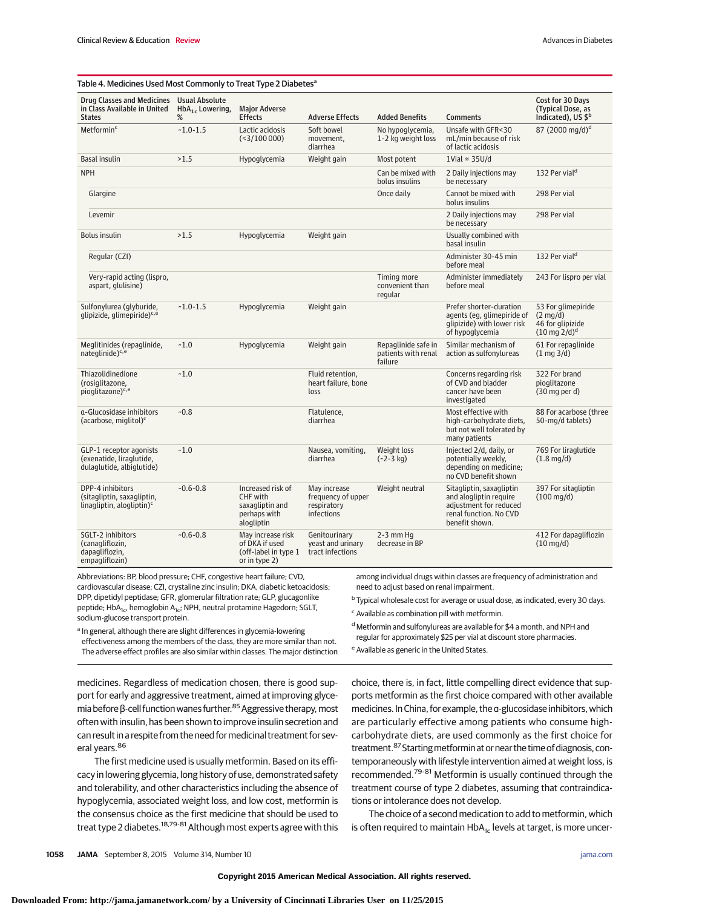| Table 4. Medicines Used Most Commonly to Treat Type 2 Diabetes <sup>a</sup>                |                        |                                                                                |                                                                 |                                                       |                                                                                                                          |                                                                                         |
|--------------------------------------------------------------------------------------------|------------------------|--------------------------------------------------------------------------------|-----------------------------------------------------------------|-------------------------------------------------------|--------------------------------------------------------------------------------------------------------------------------|-----------------------------------------------------------------------------------------|
| Drug Classes and Medicines Usual Absolute<br>in Class Available in United<br><b>States</b> | $HbA1c$ Lowering,<br>% | <b>Maior Adverse</b><br><b>Effects</b>                                         | <b>Adverse Effects</b>                                          | <b>Added Benefits</b>                                 | <b>Comments</b>                                                                                                          | Cost for 30 Days<br>(Typical Dose, as<br>Indicated), US \$ <sup>b</sup>                 |
| Metformin <sup>c</sup>                                                                     | $-1.0 - 1.5$           | Lactic acidosis<br>$(3/100000)$                                                | Soft bowel<br>movement,<br>diarrhea                             | No hypoglycemia,<br>1-2 kg weight loss                | Unsafe with GFR<30<br>mL/min because of risk<br>of lactic acidosis                                                       | 87 (2000 mg/d) <sup>d</sup>                                                             |
| <b>Basal insulin</b>                                                                       | >1.5                   | Hypoglycemia                                                                   | Weight gain                                                     | Most potent                                           | 1Vial $\approx$ 35U/d                                                                                                    |                                                                                         |
| <b>NPH</b>                                                                                 |                        |                                                                                |                                                                 | Can be mixed with<br>bolus insulins                   | 2 Daily injections may<br>be necessary                                                                                   | 132 Per vial <sup>d</sup>                                                               |
| Glargine                                                                                   |                        |                                                                                |                                                                 | Once daily                                            | Cannot be mixed with<br>bolus insulins                                                                                   | 298 Per vial                                                                            |
| Levemir                                                                                    |                        |                                                                                |                                                                 |                                                       | 2 Daily injections may<br>be necessary                                                                                   | 298 Per vial                                                                            |
| <b>Bolus insulin</b>                                                                       | >1.5                   | Hypoglycemia                                                                   | Weight gain                                                     |                                                       | Usually combined with<br>basal insulin                                                                                   |                                                                                         |
| Regular (CZI)                                                                              |                        |                                                                                |                                                                 |                                                       | Administer 30-45 min<br>before meal                                                                                      | 132 Per vial <sup>d</sup>                                                               |
| Very-rapid acting (lispro,<br>aspart, glulisine)                                           |                        |                                                                                |                                                                 | Timing more<br>convenient than<br>regular             | Administer immediately<br>before meal                                                                                    | 243 For lispro per vial                                                                 |
| Sulfonylurea (glyburide,<br>qlipizide, glimepiride) <sup>c,e</sup>                         | $-1.0 - 1.5$           | Hypoglycemia                                                                   | Weight gain                                                     |                                                       | Prefer shorter-duration<br>agents (eg, glimepiride of<br>glipizide) with lower risk<br>of hypoglycemia                   | 53 For glimepiride<br>$(2 \text{mq/d})$<br>46 for glipizide<br>$(10 \text{ mg } 2/d)^d$ |
| Meglitinides (repaglinide,<br>nateglinide) <sup>c,e</sup>                                  | $-1.0$                 | Hypoglycemia                                                                   | Weight gain                                                     | Repaglinide safe in<br>patients with renal<br>failure | Similar mechanism of<br>action as sulfonylureas                                                                          | 61 For repaglinide<br>$(1 \text{ mg } 3/d)$                                             |
| Thiazolidinedione<br>(rosiglitazone,<br>pioglitazone) <sup>c,e</sup>                       | $-1.0$                 |                                                                                | Fluid retention,<br>heart failure, bone<br>loss                 |                                                       | Concerns regarding risk<br>of CVD and bladder<br>cancer have been<br>investigated                                        | 322 For brand<br>pioglitazone<br>$(30 \text{ mg per d})$                                |
| a-Glucosidase inhibitors<br>(acarbose, miglitol) <sup>c</sup>                              | $-0.8$                 |                                                                                | Flatulence,<br>diarrhea                                         |                                                       | Most effective with<br>high-carbohydrate diets,<br>but not well tolerated by<br>many patients                            | 88 For acarbose (three<br>50-mg/d tablets)                                              |
| GLP-1 receptor agonists<br>(exenatide, liraglutide,<br>dulaglutide, albiglutide)           | $-1.0$                 |                                                                                | Nausea, vomiting,<br>diarrhea                                   | Weight loss<br>$(-2-3 kq)$                            | Injected 2/d, daily, or<br>potentially weekly,<br>depending on medicine;<br>no CVD benefit shown                         | 769 For liraglutide<br>$(1.8 \text{ mg/d})$                                             |
| DPP-4 inhibitors<br>(sitagliptin, saxagliptin,<br>linagliptin, alogliptin) <sup>c</sup>    | $-0.6 - 0.8$           | Increased risk of<br>CHF with<br>saxagliptin and<br>perhaps with<br>alogliptin | May increase<br>frequency of upper<br>respiratory<br>infections | Weight neutral                                        | Sitagliptin, saxagliptin<br>and alogliptin require<br>adjustment for reduced<br>renal function. No CVD<br>benefit shown. | 397 For sitagliptin<br>$(100 \text{ mg/d})$                                             |
| SGLT-2 inhibitors<br>(canagliflozin,<br>dapagliflozin,<br>empagliflozin)                   | $-0.6 - 0.8$           | May increase risk<br>of DKA if used<br>(off-label in type 1<br>or in type 2)   | Genitourinary<br>yeast and urinary<br>tract infections          | $2-3$ mm Hq<br>decrease in BP                         |                                                                                                                          | 412 For dapagliflozin<br>$(10 \text{ mg/d})$                                            |

Abbreviations: BP, blood pressure; CHF, congestive heart failure; CVD, cardiovascular disease; CZI, crystaline zinc insulin; DKA, diabetic ketoacidosis; DPP, dipetidyl peptidase; GFR, glomerular filtration rate; GLP, glucagonlike peptide; HbA<sub>1c</sub>, hemoglobin A<sub>1c</sub>; NPH, neutral protamine Hagedorn; SGLT, sodium-glucose transport protein.

among individual drugs within classes are frequency of administration and need to adjust based on renal impairment.

<sup>b</sup> Typical wholesale cost for average or usual dose, as indicated, every 30 days. <sup>c</sup> Available as combination pill with metformin.

<sup>a</sup> In general, although there are slight differences in glycemia-lowering effectiveness among the members of the class, they are more similar than not. The adverse effect profiles are also similar within classes. The major distinction

<sup>d</sup> Metformin and sulfonylureas are available for \$4 a month, and NPH and regular for approximately \$25 per vial at discount store pharmacies.

<sup>e</sup> Available as generic in the United States.

medicines. Regardless of medication chosen, there is good support for early and aggressive treatment, aimed at improving glycemia before β-cell function wanes further.<sup>85</sup> Aggressive therapy, most often with insulin, has been shown to improve insulin secretion and can result in a respite from the need for medicinal treatment for several vears.<sup>86</sup>

The first medicine used is usually metformin. Based on its efficacy in lowering glycemia, long history of use, demonstrated safety and tolerability, and other characteristics including the absence of hypoglycemia, associated weight loss, and low cost, metformin is the consensus choice as the first medicine that should be used to treat type 2 diabetes.<sup>18,79-81</sup> Although most experts agree with this choice, there is, in fact, little compelling direct evidence that supports metformin as the first choice compared with other available medicines.In China, for example, the α-glucosidase inhibitors, which are particularly effective among patients who consume highcarbohydrate diets, are used commonly as the first choice for treatment.<sup>87</sup> Starting metformin at or near the time of diagnosis, contemporaneously with lifestyle intervention aimed at weight loss, is recommended.79-81 Metformin is usually continued through the treatment course of type 2 diabetes, assuming that contraindications or intolerance does not develop.

The choice of a second medication to add to metformin, which is often required to maintain  $HbA_{1c}$  levels at target, is more uncer-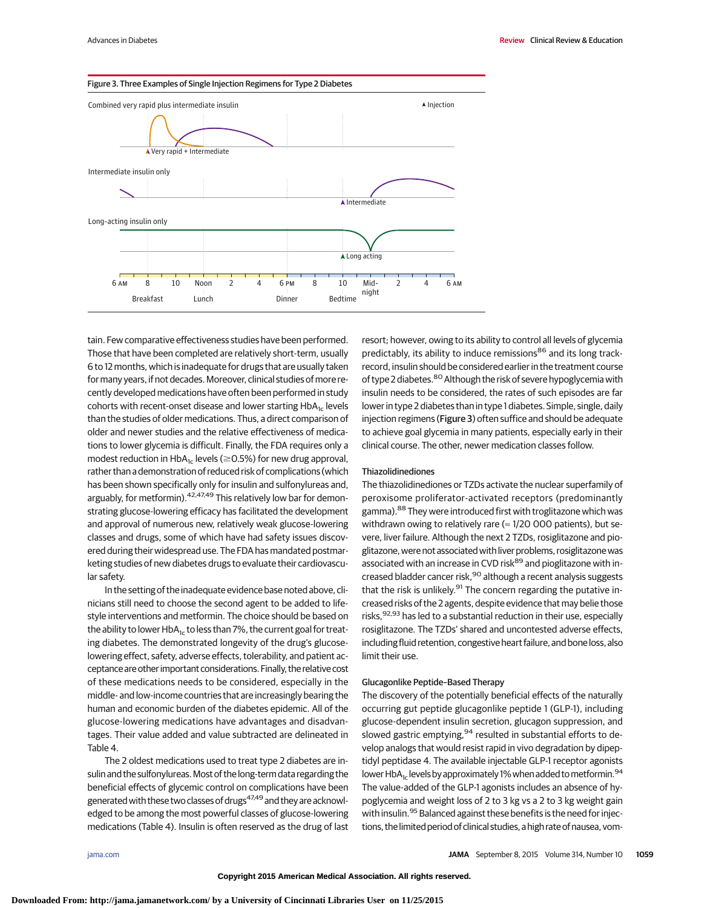

tain. Few comparative effectiveness studies have been performed. Those that have been completed are relatively short-term, usually 6 to 12 months, which is inadequate for drugs that are usually taken for many years, if not decades. Moreover, clinical studies of more recently developed medications have often been performed in study cohorts with recent-onset disease and lower starting  $HbA<sub>1c</sub>$  levels than the studies of older medications. Thus, a direct comparison of older and newer studies and the relative effectiveness of medications to lower glycemia is difficult. Finally, the FDA requires only a modest reduction in HbA $_{\text{1c}}$  levels ( $\geq$ 0.5%) for new drug approval, rather than a demonstration of reduced risk of complications (which has been shown specifically only for insulin and sulfonylureas and, arguably, for metformin). <sup>42,47,49</sup> This relatively low bar for demonstrating glucose-lowering efficacy has facilitated the development and approval of numerous new, relatively weak glucose-lowering classes and drugs, some of which have had safety issues discovered during their widespread use. The FDA has mandated postmarketing studies of new diabetes drugs to evaluate their cardiovascular safety.

In the setting of the inadequate evidence base noted above, clinicians still need to choose the second agent to be added to lifestyle interventions and metformin. The choice should be based on the ability to lower  $HbA_{1c}$  to less than 7%, the current goal for treating diabetes. The demonstrated longevity of the drug's glucoselowering effect, safety, adverse effects, tolerability, and patient acceptanceare other important considerations. Finally, the relative cost of these medications needs to be considered, especially in the middle- and low-income countries that are increasingly bearing the human and economic burden of the diabetes epidemic. All of the glucose-lowering medications have advantages and disadvantages. Their value added and value subtracted are delineated in Table 4.

The 2 oldest medications used to treat type 2 diabetes are insulin and the sulfonylureas.Most of the long-term data regarding the beneficial effects of glycemic control on complications have been generated with these two classes of drugs<sup>47,49</sup> and they are acknowledged to be among the most powerful classes of glucose-lowering medications (Table 4). Insulin is often reserved as the drug of last resort; however, owing to its ability to control all levels of glycemia predictably, its ability to induce remissions<sup>86</sup> and its long trackrecord, insulin should be considered earlier in the treatment course of type 2 diabetes.<sup>80</sup> Although the risk of severe hypoglycemia with insulin needs to be considered, the rates of such episodes are far lower in type 2 diabetes than in type 1 diabetes. Simple, single, daily injection regimens (Figure 3) often suffice and should be adequate to achieve goal glycemia in many patients, especially early in their clinical course. The other, newer medication classes follow.

### Thiazolidinediones

The thiazolidinediones or TZDs activate the nuclear superfamily of peroxisome proliferator-activated receptors (predominantly gamma).<sup>88</sup> They were introduced first with troglitazone which was withdrawn owing to relatively rare ( $\approx$  1/20 000 patients), but severe, liver failure. Although the next 2 TZDs, rosiglitazone and pioglitazone, were not associated with liver problems, rosiglitazone was associated with an increase in CVD risk<sup>89</sup> and pioglitazone with increased bladder cancer risk, <sup>90</sup> although a recent analysis suggests that the risk is unlikely.<sup>91</sup> The concern regarding the putative increased risks of the 2 agents, despite evidence that may belie those risks, <sup>92,93</sup> has led to a substantial reduction in their use, especially rosiglitazone. The TZDs' shared and uncontested adverse effects, including fluid retention, congestive heart failure, and bone loss, also limit their use.

# Glucagonlike Peptide–Based Therapy

The discovery of the potentially beneficial effects of the naturally occurring gut peptide glucagonlike peptide 1 (GLP-1), including glucose-dependent insulin secretion, glucagon suppression, and slowed gastric emptying, <sup>94</sup> resulted in substantial efforts to develop analogs that would resist rapid in vivo degradation by dipeptidyl peptidase 4. The available injectable GLP-1 receptor agonists lower HbA<sub>1c</sub> levels by approximately 1% when added to metformin.<sup>94</sup> The value-added of the GLP-1 agonists includes an absence of hypoglycemia and weight loss of 2 to 3 kg vs a 2 to 3 kg weight gain with insulin.<sup>95</sup> Balanced against these benefits is the need for injections, the limited period of clinical studies, a high rate of nausea, vom-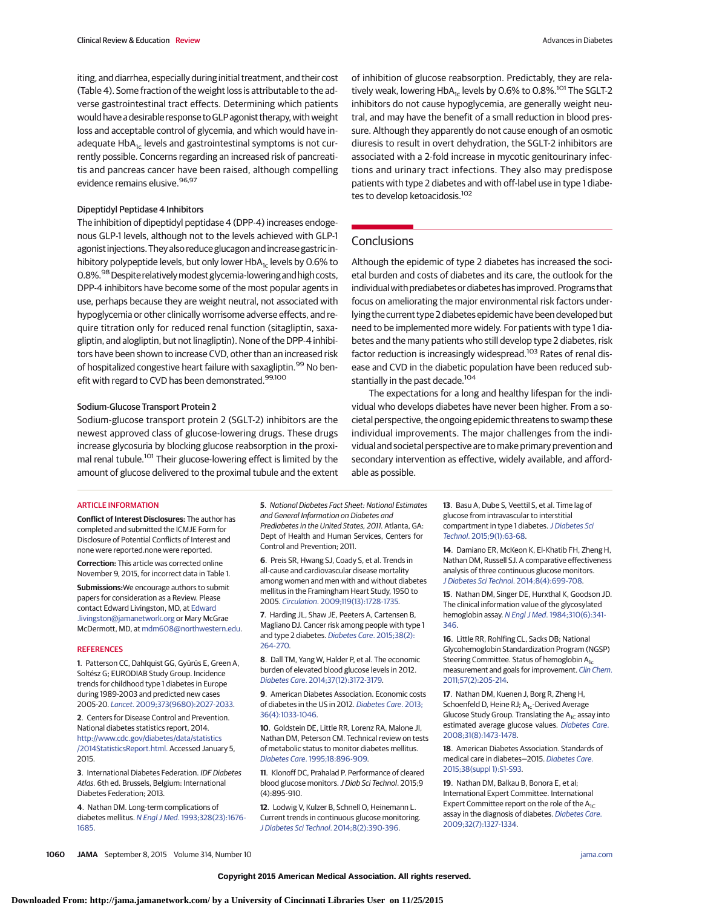iting, and diarrhea, especially during initial treatment, and their cost (Table 4). Some fraction of the weight loss is attributable to the adverse gastrointestinal tract effects. Determining which patients would have a desirable response toGLP agonist therapy, with weight loss and acceptable control of glycemia, and which would have inadequate  $HbA_{1c}$  levels and gastrointestinal symptoms is not currently possible. Concerns regarding an increased risk of pancreatitis and pancreas cancer have been raised, although compelling evidence remains elusive. 96,97

## Dipeptidyl Peptidase 4 Inhibitors

The inhibition of dipeptidyl peptidase 4 (DPP-4) increases endogenous GLP-1 levels, although not to the levels achieved with GLP-1 agonist injections. They also reduce glucagon and increase gastric inhibitory polypeptide levels, but only lower HbA $_{1c}$  levels by 0.6% to 0.8%.<sup>98</sup> Despite relatively modest glycemia-lowering and high costs, DPP-4 inhibitors have become some of the most popular agents in use, perhaps because they are weight neutral, not associated with hypoglycemia or other clinically worrisome adverse effects, and require titration only for reduced renal function (sitagliptin, saxagliptin, and alogliptin, but not linagliptin). None of the DPP-4 inhibitors have been shown to increase CVD, other than an increased risk of hospitalized congestive heart failure with saxagliptin.<sup>99</sup> No benefit with regard to CVD has been demonstrated.<sup>99,100</sup>

#### Sodium-Glucose Transport Protein 2

Sodium-glucose transport protein 2 (SGLT-2) inhibitors are the newest approved class of glucose-lowering drugs. These drugs increase glycosuria by blocking glucose reabsorption in the proximal renal tubule.<sup>101</sup> Their glucose-lowering effect is limited by the amount of glucose delivered to the proximal tubule and the extent

#### ARTICLE INFORMATION

**Conflict of Interest Disclosures:** The author has completed and submitted the ICMJE Form for Disclosure of Potential Conflicts of Interest and none were reported.none were reported.

**Correction:** This article was corrected online November 9, 2015, for incorrect data in Table 1.

**Submissions:**We encourage authors to submit papers for consideration as a Review. Please contact Edward Livingston, MD, at [Edward](mailto:Edward.livingston@jamanetwork.org) [.livingston@jamanetwork.org](mailto:Edward.livingston@jamanetwork.org) or Mary McGrae McDermott, MD, at [mdm608@northwestern.edu.](mailto:mdm608@northwestern.edu)

#### **REFERENCES**

**1**. Patterson CC, Dahlquist GG, Gyürüs E, Green A, Soltész G; EURODIAB Study Group. Incidence trends for childhood type 1 diabetes in Europe during 1989-2003 and predicted new cases 2005-20. Lancet[. 2009;373\(9680\):2027-2033.](http://www.ncbi.nlm.nih.gov/pubmed/19481249)

**2**. Centers for Disease Control and Prevention. National diabetes statistics report, 2014. [http://www.cdc.gov/diabetes/data/statistics](http://www.cdc.gov/diabetes/data/statistics/2014StatisticsReport.html) [/2014StatisticsReport.html.](http://www.cdc.gov/diabetes/data/statistics/2014StatisticsReport.html) Accessed January 5, 2015.

**3**. International Diabetes Federation. IDF Diabetes Atlas. 6th ed. Brussels, Belgium: International Diabetes Federation; 2013.

**4**. Nathan DM. Long-term complications of diabetes mellitus. N Engl J Med[. 1993;328\(23\):1676-](http://www.ncbi.nlm.nih.gov/pubmed/8487827) [1685.](http://www.ncbi.nlm.nih.gov/pubmed/8487827)

of inhibition of glucose reabsorption. Predictably, they are relatively weak, lowering  $HbA_{1c}$  levels by 0.6% to 0.8%.<sup>101</sup> The SGLT-2 inhibitors do not cause hypoglycemia, are generally weight neutral, and may have the benefit of a small reduction in blood pressure. Although they apparently do not cause enough of an osmotic diuresis to result in overt dehydration, the SGLT-2 inhibitors are associated with a 2-fold increase in mycotic genitourinary infections and urinary tract infections. They also may predispose patients with type 2 diabetes and with off-label use in type 1 diabetes to develop ketoacidosis.<sup>102</sup>

# **Conclusions**

Although the epidemic of type 2 diabetes has increased the societal burden and costs of diabetes and its care, the outlook for the individual with prediabetes or diabetes has improved. Programs that focus on ameliorating the major environmental risk factors underlying the current type 2 diabetes epidemic have been developed but need to be implemented more widely. For patients with type 1 diabetes and the many patients who still develop type 2 diabetes, risk factor reduction is increasingly widespread.<sup>103</sup> Rates of renal disease and CVD in the diabetic population have been reduced substantially in the past decade.<sup>104</sup>

The expectations for a long and healthy lifespan for the individual who develops diabetes have never been higher. From a societal perspective, the ongoing epidemic threatens to swamp these individual improvements. The major challenges from the individual and societal perspective are to make primary prevention and secondary intervention as effective, widely available, and affordable as possible.

**5**. National Diabetes Fact Sheet: National Estimates and General Information on Diabetes and Prediabetes in the United States, 2011. Atlanta, GA: Dept of Health and Human Services, Centers for Control and Prevention; 2011.

**6**. Preis SR, Hwang SJ, Coady S, et al. Trends in all-cause and cardiovascular disease mortality among women and men with and without diabetes mellitus in the Framingham Heart Study, 1950 to 2005. Circulation[. 2009;119\(13\):1728-1735.](http://www.ncbi.nlm.nih.gov/pubmed/19307472)

**7**. Harding JL, Shaw JE, Peeters A, Cartensen B, Magliano DJ. Cancer risk among people with type 1 and type 2 diabetes. [Diabetes Care](http://www.ncbi.nlm.nih.gov/pubmed/25488912). 2015;38(2): [264-270.](http://www.ncbi.nlm.nih.gov/pubmed/25488912)

**8**. Dall TM, Yang W, Halder P, et al. The economic burden of elevated blood glucose levels in 2012. Diabetes Care[. 2014;37\(12\):3172-3179.](http://www.ncbi.nlm.nih.gov/pubmed/25414388)

**9**. American Diabetes Association. Economic costs of diabetes in the US in 2012. [Diabetes Care](http://www.ncbi.nlm.nih.gov/pubmed/23468086). 2013; [36\(4\):1033-1046.](http://www.ncbi.nlm.nih.gov/pubmed/23468086)

**10**. Goldstein DE, Little RR, Lorenz RA, Malone JI, Nathan DM, Peterson CM. Technical review on tests of metabolic status to monitor diabetes mellitus. Diabetes Care[. 1995;18:896-909.](http://www.ncbi.nlm.nih.gov/pubmed/7555528)

**11**. Klonoff DC, Prahalad P. Performance of cleared blood glucose monitors. J Diab Sci Technol. 2015;9 (4):895-910.

**12**. Lodwig V, Kulzer B, Schnell O, Heinemann L. Current trends in continuous glucose monitoring. [J Diabetes Sci Technol](http://www.ncbi.nlm.nih.gov/pubmed/24876592). 2014;8(2):390-396.

**13**. Basu A, Dube S, Veettil S, et al. Time lag of glucose from intravascular to interstitial compartment in type 1 diabetes. [J Diabetes Sci](http://www.ncbi.nlm.nih.gov/pubmed/25305282) Technol[. 2015;9\(1\):63-68.](http://www.ncbi.nlm.nih.gov/pubmed/25305282)

**14**. Damiano ER, McKeon K, El-Khatib FH, Zheng H, Nathan DM, Russell SJ. A comparative effectiveness analysis of three continuous glucose monitors. J Diabetes Sci Technol[. 2014;8\(4\):699-708.](http://www.ncbi.nlm.nih.gov/pubmed/24876423)

**15**. Nathan DM, Singer DE, Hurxthal K, Goodson JD. The clinical information value of the glycosylated hemoglobin assay. N Engl J Med[. 1984;310\(6\):341-](http://www.ncbi.nlm.nih.gov/pubmed/6690962) [346.](http://www.ncbi.nlm.nih.gov/pubmed/6690962)

**16**. Little RR, Rohlfing CL, Sacks DB; National Glycohemoglobin Standardization Program (NGSP) Steering Committee. Status of hemoglobin  $A_{1c}$ measurement and goals for improvement. [Clin Chem](http://www.ncbi.nlm.nih.gov/pubmed/21148304). [2011;57\(2\):205-214.](http://www.ncbi.nlm.nih.gov/pubmed/21148304)

**17**. Nathan DM, Kuenen J, Borg R, Zheng H, Schoenfeld D, Heine RJ; A<sub>1c</sub>-Derived Average Glucose Study Group. Translating the  $A_{1C}$  assay into estimated average glucose values. [Diabetes Care](http://www.ncbi.nlm.nih.gov/pubmed/18540046). [2008;31\(8\):1473-1478.](http://www.ncbi.nlm.nih.gov/pubmed/18540046)

**18**. American Diabetes Association. Standards of medical care in diabetes—2015. [Diabetes Care](http://www.ncbi.nlm.nih.gov/pubmed/25537700). [2015;38\(suppl 1\):S1-S93.](http://www.ncbi.nlm.nih.gov/pubmed/25537700)

**19**. Nathan DM, Balkau B, Bonora E, et al; International Expert Committee. International Expert Committee report on the role of the  $A_{1C}$ assay in the diagnosis of diabetes. [Diabetes Care](http://www.ncbi.nlm.nih.gov/pubmed/19502545). [2009;32\(7\):1327-1334.](http://www.ncbi.nlm.nih.gov/pubmed/19502545)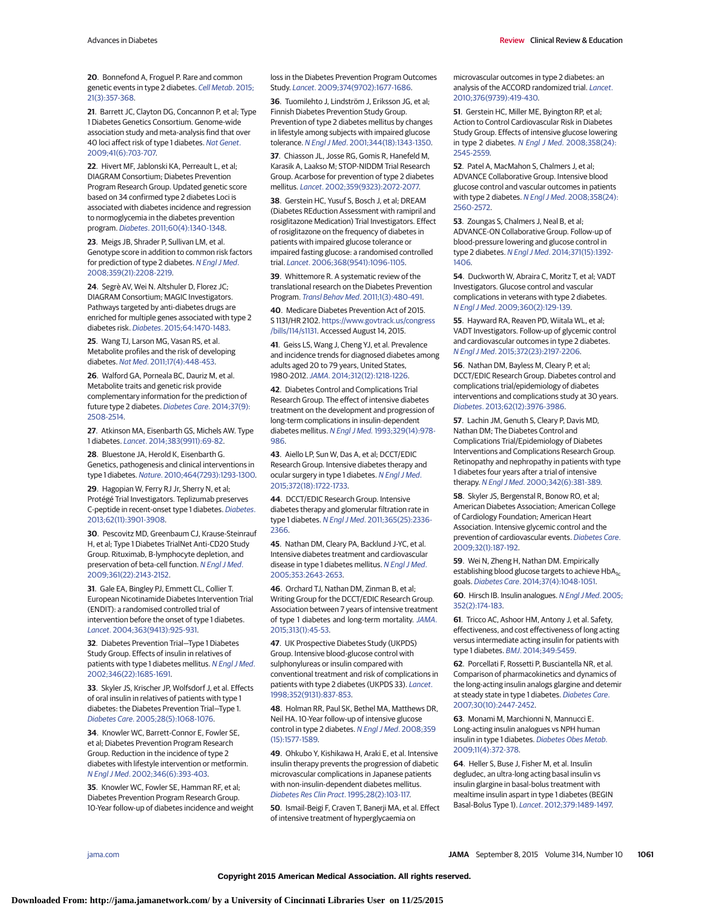Advances in Diabetes **Exercices** Review Clinical Review & Education

**20**. Bonnefond A, Froguel P. Rare and common genetic events in type 2 diabetes. [Cell Metab](http://www.ncbi.nlm.nih.gov/pubmed/25640731). 2015; [21\(3\):357-368.](http://www.ncbi.nlm.nih.gov/pubmed/25640731)

**21**. Barrett JC, Clayton DG, Concannon P, et al; Type 1 Diabetes Genetics Consortium. Genome-wide association study and meta-analysis find that over 40 loci affect risk of type 1 diabetes. [Nat Genet](http://www.ncbi.nlm.nih.gov/pubmed/19430480). [2009;41\(6\):703-707.](http://www.ncbi.nlm.nih.gov/pubmed/19430480)

**22**. Hivert MF, Jablonski KA, Perreault L, et al; DIAGRAM Consortium; Diabetes Prevention Program Research Group. Updated genetic score based on 34 confirmed type 2 diabetes Loci is associated with diabetes incidence and regression to normoglycemia in the diabetes prevention program. Diabetes[. 2011;60\(4\):1340-1348.](http://www.ncbi.nlm.nih.gov/pubmed/21378175)

**23**. Meigs JB, Shrader P, Sullivan LM, et al. Genotype score in addition to common risk factors for prediction of type 2 diabetes. [N Engl J Med](http://www.ncbi.nlm.nih.gov/pubmed/19020323). [2008;359\(21\):2208-2219.](http://www.ncbi.nlm.nih.gov/pubmed/19020323)

**24**. Segrè AV, Wei N. Altshuler D, Florez JC; DIAGRAM Consortium; MAGIC Investigators. Pathways targeted by anti-diabetes drugs are enriched for multiple genes associated with type 2 diabetes risk. Diabetes[. 2015;64:1470-1483.](http://www.ncbi.nlm.nih.gov/pubmed/25368101)

**25**. Wang TJ, Larson MG, Vasan RS, et al. Metabolite profiles and the risk of developing diabetes. Nat Med[. 2011;17\(4\):448-453.](http://www.ncbi.nlm.nih.gov/pubmed/21423183)

**26**. Walford GA, Porneala BC, Dauriz M, et al. Metabolite traits and genetic risk provide complementary information for the prediction of future type 2 diabetes. [Diabetes Care](http://www.ncbi.nlm.nih.gov/pubmed/24947790). 2014;37(9): [2508-2514.](http://www.ncbi.nlm.nih.gov/pubmed/24947790)

**27**. Atkinson MA, Eisenbarth GS, Michels AW. Type 1 diabetes. Lancet[. 2014;383\(9911\):69-82.](http://www.ncbi.nlm.nih.gov/pubmed/23890997)

**28**. Bluestone JA, Herold K, Eisenbarth G. Genetics, pathogenesis and clinical interventions in type 1 diabetes. Nature[. 2010;464\(7293\):1293-1300.](http://www.ncbi.nlm.nih.gov/pubmed/20432533)

**29**. Hagopian W, Ferry RJ Jr, Sherry N, et al; Protégé Trial Investigators. Teplizumab preserves C-peptide in recent-onset type 1 diabetes. [Diabetes](http://www.ncbi.nlm.nih.gov/pubmed/23801579). [2013;62\(11\):3901-3908.](http://www.ncbi.nlm.nih.gov/pubmed/23801579)

**30**. Pescovitz MD, Greenbaum CJ, Krause-Steinrauf H, et al; Type 1 Diabetes TrialNet Anti-CD20 Study Group. Rituximab, B-lymphocyte depletion, and preservation of beta-cell function. [N Engl J Med](http://www.ncbi.nlm.nih.gov/pubmed/19940299). [2009;361\(22\):2143-2152.](http://www.ncbi.nlm.nih.gov/pubmed/19940299)

**31**. Gale EA, Bingley PJ, Emmett CL, Collier T. European Nicotinamide Diabetes Intervention Trial (ENDIT): a randomised controlled trial of intervention before the onset of type 1 diabetes. Lancet[. 2004;363\(9413\):925-931.](http://www.ncbi.nlm.nih.gov/pubmed/15043959)

**32**. Diabetes Prevention Trial—Type 1 Diabetes Study Group. Effects of insulin in relatives of patients with type 1 diabetes mellitus. [N Engl J Med](http://www.ncbi.nlm.nih.gov/pubmed/12037147). [2002;346\(22\):1685-1691.](http://www.ncbi.nlm.nih.gov/pubmed/12037147)

**33**. Skyler JS, Krischer JP, Wolfsdorf J, et al. Effects of oral insulin in relatives of patients with type 1 diabetes: the Diabetes Prevention Trial—Type 1. Diabetes Care[. 2005;28\(5\):1068-1076.](http://www.ncbi.nlm.nih.gov/pubmed/15855569)

**34**. Knowler WC, Barrett-Connor E, Fowler SE, et al; Diabetes Prevention Program Research Group. Reduction in the incidence of type 2 diabetes with lifestyle intervention or metformin. N Engl J Med[. 2002;346\(6\):393-403.](http://www.ncbi.nlm.nih.gov/pubmed/11832527)

**35**. Knowler WC, Fowler SE, Hamman RF, et al; Diabetes Prevention Program Research Group. 10-Year follow-up of diabetes incidence and weight

loss in the Diabetes Prevention Program Outcomes Study. Lancet[. 2009;374\(9702\):1677-1686.](http://www.ncbi.nlm.nih.gov/pubmed/19878986)

**36**. Tuomilehto J, Lindström J, Eriksson JG, et al; Finnish Diabetes Prevention Study Group. Prevention of type 2 diabetes mellitus by changes in lifestyle among subjects with impaired glucose tolerance. N Engl J Med[. 2001;344\(18\):1343-1350.](http://www.ncbi.nlm.nih.gov/pubmed/11333990)

**37**. Chiasson JL, Josse RG, Gomis R, Hanefeld M, Karasik A, Laakso M; STOP-NIDDM Trial Research Group. Acarbose for prevention of type 2 diabetes mellitus. Lancet[. 2002;359\(9323\):2072-2077.](http://www.ncbi.nlm.nih.gov/pubmed/12086760)

**38**. Gerstein HC, Yusuf S, Bosch J, et al; DREAM (Diabetes REduction Assessment with ramipril and rosiglitazone Medication) Trial Investigators. Effect of rosiglitazone on the frequency of diabetes in patients with impaired glucose tolerance or impaired fasting glucose: a randomised controlled trial. Lancet[. 2006;368\(9541\):1096-1105.](http://www.ncbi.nlm.nih.gov/pubmed/16997664)

**39**. Whittemore R. A systematic review of the translational research on the Diabetes Prevention Program. Transl Behav Med[. 2011;1\(3\):480-491.](http://www.ncbi.nlm.nih.gov/pubmed/24073067)

**40**. Medicare Diabetes Prevention Act of 2015. S 1131/HR 2102. [https://www.govtrack.us/congress](https://www.govtrack.us/congress/bills/114/s1131) [/bills/114/s1131.](https://www.govtrack.us/congress/bills/114/s1131) Accessed August 14, 2015.

**41**. Geiss LS, Wang J, Cheng YJ, et al. Prevalence and incidence trends for diagnosed diabetes among adults aged 20 to 79 years, United States, 1980-2012.JAMA[. 2014;312\(12\):1218-1226.](http://www.ncbi.nlm.nih.gov/pubmed/25247518)

**42**. Diabetes Control and Complications Trial Research Group. The effect of intensive diabetes treatment on the development and progression of long-term complications in insulin-dependent diabetes mellitus. N Engl J Med. [1993;329\(14\):978-](http://www.ncbi.nlm.nih.gov/pubmed/8366922) [986.](http://www.ncbi.nlm.nih.gov/pubmed/8366922)

**43**. Aiello LP, Sun W, Das A, et al; DCCT/EDIC Research Group. Intensive diabetes therapy and ocular surgery in type 1 diabetes. [N Engl J Med](http://www.ncbi.nlm.nih.gov/pubmed/25923552). [2015;372\(18\):1722-1733.](http://www.ncbi.nlm.nih.gov/pubmed/25923552)

**44**. DCCT/EDIC Research Group. Intensive diabetes therapy and glomerular filtration rate in type 1 diabetes. N Engl J Med[. 2011;365\(25\):2336-](http://www.ncbi.nlm.nih.gov/pubmed/24738668) [2366.](http://www.ncbi.nlm.nih.gov/pubmed/24738668)

**45**. Nathan DM, Cleary PA, Backlund J-YC, et al. Intensive diabetes treatment and cardiovascular disease in type 1 diabetes mellitus. [N Engl J Med](http://www.ncbi.nlm.nih.gov/pubmed/16371630). [2005;353:2643-2653.](http://www.ncbi.nlm.nih.gov/pubmed/16371630)

**46**. Orchard TJ, Nathan DM, Zinman B, et al; Writing Group for the DCCT/EDIC Research Group. Association between 7 years of intensive treatment of type 1 diabetes and long-term mortality. [JAMA](http://www.ncbi.nlm.nih.gov/pubmed/25562265). [2015;313\(1\):45-53.](http://www.ncbi.nlm.nih.gov/pubmed/25562265)

**47**. UK Prospective Diabetes Study (UKPDS) Group. Intensive blood-glucose control with sulphonylureas or insulin compared with conventional treatment and risk of complications in patients with type 2 diabetes (UKPDS 33). [Lancet](http://www.ncbi.nlm.nih.gov/pubmed/9742976). [1998;352\(9131\):837-853.](http://www.ncbi.nlm.nih.gov/pubmed/9742976)

**48**. Holman RR, Paul SK, Bethel MA, Matthews DR, Neil HA. 10-Year follow-up of intensive glucose control in type 2 diabetes. [N Engl J Med](http://www.ncbi.nlm.nih.gov/pubmed/18784090). 2008;359 [\(15\):1577-1589.](http://www.ncbi.nlm.nih.gov/pubmed/18784090)

**49**. Ohkubo Y, Kishikawa H, Araki E, et al. Intensive insulin therapy prevents the progression of diabetic microvascular complications in Japanese patients with non-insulin-dependent diabetes mellitus. [Diabetes Res Clin Pract](http://www.ncbi.nlm.nih.gov/pubmed/7587918). 1995;28(2):103-117.

**50**. Ismail-Beigi F, Craven T, Banerji MA, et al. Effect of intensive treatment of hyperglycaemia on

microvascular outcomes in type 2 diabetes: an analysis of the ACCORD randomized trial. [Lancet](http://www.ncbi.nlm.nih.gov/pubmed/21036274). [2010;376\(9739\):419-430.](http://www.ncbi.nlm.nih.gov/pubmed/21036274)

**51**. Gerstein HC, Miller ME, Byington RP, et al; Action to Control Cardiovascular Risk in Diabetes Study Group. Effects of intensive glucose lowering in type 2 diabetes. N Engl J Med[. 2008;358\(24\):](http://www.ncbi.nlm.nih.gov/pubmed/18539917) [2545-2559.](http://www.ncbi.nlm.nih.gov/pubmed/18539917)

**52**. Patel A, MacMahon S, Chalmers J, et al; ADVANCE Collaborative Group. Intensive blood glucose control and vascular outcomes in patients with type 2 diabetes. N Engl J Med[. 2008;358\(24\):](http://www.ncbi.nlm.nih.gov/pubmed/18539916) [2560-2572.](http://www.ncbi.nlm.nih.gov/pubmed/18539916)

**53**. Zoungas S, Chalmers J, Neal B, et al; ADVANCE-ON Collaborative Group. Follow-up of blood-pressure lowering and glucose control in type 2 diabetes. N Engl J Med[. 2014;371\(15\):1392-](http://www.ncbi.nlm.nih.gov/pubmed/25234206) [1406.](http://www.ncbi.nlm.nih.gov/pubmed/25234206)

**54**. Duckworth W, Abraira C, Moritz T, et al; VADT Investigators. Glucose control and vascular complications in veterans with type 2 diabetes. N Engl J Med[. 2009;360\(2\):129-139.](http://www.ncbi.nlm.nih.gov/pubmed/19092145)

**55**. Hayward RA, Reaven PD, Wiitala WL, et al; VADT Investigators. Follow-up of glycemic control and cardiovascular outcomes in type 2 diabetes. N Engl J Med[. 2015;372\(23\):2197-2206.](http://www.ncbi.nlm.nih.gov/pubmed/26039600)

**56**. Nathan DM, Bayless M, Cleary P, et al; DCCT/EDIC Research Group. Diabetes control and complications trial/epidemiology of diabetes interventions and complications study at 30 years. Diabetes[. 2013;62\(12\):3976-3986.](http://www.ncbi.nlm.nih.gov/pubmed/24264395)

**57**. Lachin JM, Genuth S, Cleary P, Davis MD, Nathan DM; The Diabetes Control and Complications Trial/Epidemiology of Diabetes Interventions and Complications Research Group. Retinopathy and nephropathy in patients with type 1 diabetes four years after a trial of intensive therapy. N Engl J Med[. 2000;342\(6\):381-389.](http://www.ncbi.nlm.nih.gov/pubmed/10666428)

**58**. Skyler JS, Bergenstal R, Bonow RO, et al; American Diabetes Association; American College of Cardiology Foundation; American Heart Association. Intensive glycemic control and the prevention of cardiovascular events. [Diabetes Care](http://www.ncbi.nlm.nih.gov/pubmed/19092168). [2009;32\(1\):187-192.](http://www.ncbi.nlm.nih.gov/pubmed/19092168)

**59**. Wei N, Zheng H, Nathan DM. Empirically establishing blood glucose targets to achieve HbA<sub>1c</sub> goals. Diabetes Care[. 2014;37\(4\):1048-1051.](http://www.ncbi.nlm.nih.gov/pubmed/24513588)

**60**. Hirsch IB. Insulin analogues. [N Engl J Med](http://www.ncbi.nlm.nih.gov/pubmed/15647580). 2005; [352\(2\):174-183.](http://www.ncbi.nlm.nih.gov/pubmed/15647580)

**61**. Tricco AC, Ashoor HM, Antony J, et al. Safety, effectiveness, and cost effectiveness of long acting versus intermediate acting insulin for patients with type 1 diabetes. BMJ[. 2014;349:5459.](http://www.ncbi.nlm.nih.gov/pubmed/25274009)

**62**. Porcellati F, Rossetti P, Busciantella NR, et al. Comparison of pharmacokinetics and dynamics of the long-acting insulin analogs glargine and detemir at steady state in type 1 diabetes. [Diabetes Care](http://www.ncbi.nlm.nih.gov/pubmed/17623819). [2007;30\(10\):2447-2452.](http://www.ncbi.nlm.nih.gov/pubmed/17623819)

**63**. Monami M, Marchionni N, Mannucci E. Long-acting insulin analogues vs NPH human insulin in type 1 diabetes. [Diabetes Obes Metab](http://www.ncbi.nlm.nih.gov/pubmed/19267715). [2009;11\(4\):372-378.](http://www.ncbi.nlm.nih.gov/pubmed/19267715)

**64**. Heller S, Buse J, Fisher M, et al. Insulin degludec, an ultra-long acting basal insulin vs insulin glargine in basal-bolus treatment with mealtime insulin aspart in type 1 diabetes (BEGIN Basal-Bolus Type 1). Lancet[. 2012;379:1489-1497.](http://www.ncbi.nlm.nih.gov/pubmed/22521071)